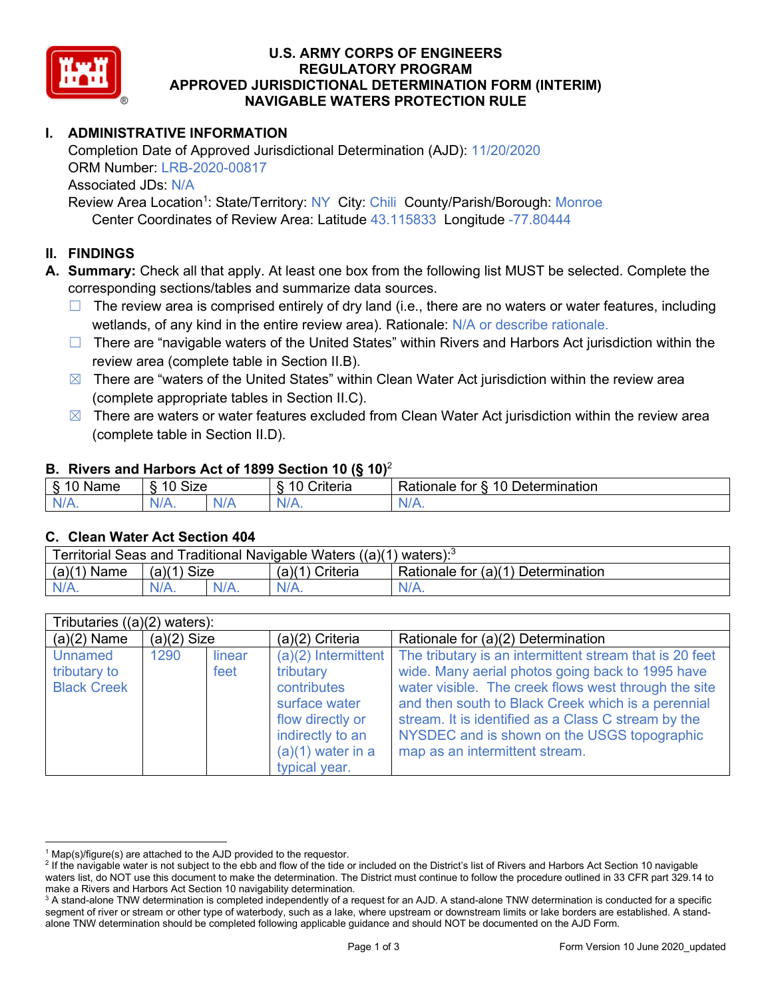

## **U.S. ARMY CORPS OF ENGINEERS REGULATORY PROGRAM APPROVED JURISDICTIONAL DETERMINATION FORM (INTERIM) NAVIGABLE WATERS PROTECTION RULE**

# **I. ADMINISTRATIVE INFORMATION**

Completion Date of Approved Jurisdictional Determination (AJD): 11/20/2020 ORM Number: LRB-2020-00817 Associated JDs: N/A Review Area Location<sup>1</sup>: State/Territory: NY City: Chili County/Parish/Borough: Monroe

Center Coordinates of Review Area: Latitude 43.115833 Longitude -77.80444

## **II. FINDINGS**

**A. Summary:** Check all that apply. At least one box from the following list MUST be selected. Complete the corresponding sections/tables and summarize data sources.

- $\Box$  The review area is comprised entirely of dry land (i.e., there are no waters or water features, including wetlands, of any kind in the entire review area). Rationale: N/A or describe rationale.
- $\Box$  There are "navigable waters of the United States" within Rivers and Harbors Act jurisdiction within the review area (complete table in Section II.B).
- $\boxtimes$  There are "waters of the United States" within Clean Water Act jurisdiction within the review area (complete appropriate tables in Section II.C).
- $\boxtimes$  There are waters or water features excluded from Clean Water Act jurisdiction within the review area (complete table in Section II.D).

#### **B. Rivers and Harbors Act of 1899 Section 10 (§ 10)**<sup>2</sup>

| w                         |                      |        |                                                             |                                                 |  |
|---------------------------|----------------------|--------|-------------------------------------------------------------|-------------------------------------------------|--|
| $\sim$<br>$-$<br>ame<br>◡ | 10<br>$\sim$<br>SIZE |        | .<br>10<br>$^{\circ}$ rıt $\cap$ rı $\cap$<br><b>AILCIT</b> | Determination<br>$\sqrt{ }$<br>Rationale<br>tor |  |
| $N/A$ .                   | ו גו<br>97 / TV .    | w<br>. | $N/A$ .                                                     | $N_{\ell}$<br>$\mathbf{v}$                      |  |

#### **C. Clean Water Act Section 404**

| Territorial Seas and Traditional Navigable Waters $((a)(1)$ waters): <sup>3</sup> |                |  |                 |                                    |  |
|-----------------------------------------------------------------------------------|----------------|--|-----------------|------------------------------------|--|
| (a)(1)<br>Name                                                                    | Size<br>(a)(1) |  | (a)(1) Criteria | Rationale for (a)(1) Determination |  |
|                                                                                   | $N/A$ .        |  | $N/A$ .         | $N/A$ .                            |  |

| Tributaries $((a)(2)$ waters): |               |        |                       |                                                         |  |
|--------------------------------|---------------|--------|-----------------------|---------------------------------------------------------|--|
| $(a)(2)$ Name                  | $(a)(2)$ Size |        | $(a)(2)$ Criteria     | Rationale for (a)(2) Determination                      |  |
| Unnamed                        | 1290          | linear | $(a)(2)$ Intermittent | The tributary is an intermittent stream that is 20 feet |  |
| tributary to                   |               | feet   | tributary             | wide. Many aerial photos going back to 1995 have        |  |
| <b>Black Creek</b>             |               |        | contributes           | water visible. The creek flows west through the site    |  |
|                                |               |        | surface water         | and then south to Black Creek which is a perennial      |  |
|                                |               |        | flow directly or      | stream. It is identified as a Class C stream by the     |  |
|                                |               |        | indirectly to an      | NYSDEC and is shown on the USGS topographic             |  |
|                                |               |        | $(a)(1)$ water in a   | map as an intermittent stream.                          |  |
|                                |               |        | typical year.         |                                                         |  |

 $1$  Map(s)/figure(s) are attached to the AJD provided to the requestor.

<sup>&</sup>lt;sup>2</sup> If the navigable water is not subject to the ebb and flow of the tide or included on the District's list of Rivers and Harbors Act Section 10 navigable waters list, do NOT use this document to make the determination. The District must continue to follow the procedure outlined in 33 CFR part 329.14 to make a Rivers and Harbors Act Section 10 navigability determination.

<sup>&</sup>lt;sup>3</sup> A stand-alone TNW determination is completed independently of a request for an AJD. A stand-alone TNW determination is conducted for a specific segment of river or stream or other type of waterbody, such as a lake, where upstream or downstream limits or lake borders are established. A standalone TNW determination should be completed following applicable guidance and should NOT be documented on the AJD Form.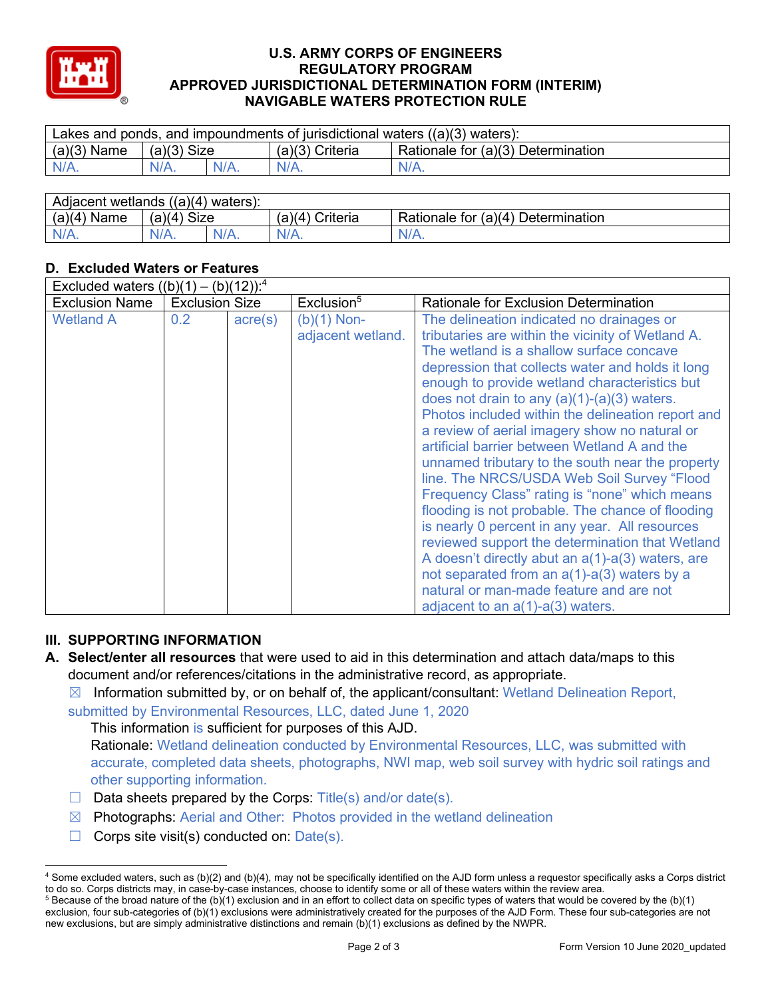

### **U.S. ARMY CORPS OF ENGINEERS REGULATORY PROGRAM APPROVED JURISDICTIONAL DETERMINATION FORM (INTERIM) NAVIGABLE WATERS PROTECTION RULE**

| Lakes and ponds, and impoundments of jurisdictional waters $((a)(3)$ waters): |               |         |                                                       |         |  |
|-------------------------------------------------------------------------------|---------------|---------|-------------------------------------------------------|---------|--|
| $(a)(3)$ Name                                                                 | $(a)(3)$ Size |         | Rationale for (a)(3) Determination<br>(a)(3) Criteria |         |  |
| $N/A$ .                                                                       | $N/A$ .       | $N/A$ . | $N/A$ .                                               | $N/A$ . |  |
|                                                                               |               |         |                                                       |         |  |

| Adjacent wetlands $((a)(4)$ waters): |                       |         |                    |                                    |  |
|--------------------------------------|-----------------------|---------|--------------------|------------------------------------|--|
| (a)(4)<br>Name                       | <b>Size</b><br>(a)(4) |         | Criteria<br>(a)(4) | Rationale for (a)(4) Determination |  |
|                                      | $N/A$ .               | $N/A$ . | $N/A$ .            | N/A.                               |  |

# **D. Excluded Waters or Features**

| Excluded waters $((b)(1) - (b)(12))$ : <sup>4</sup> |                       |                  |                                    |                                                                                                                                                                                                                                                                                                                                                                                                                                                                                                                                                                                                                                                                                                                                                                                                                                                                                                                                                                  |  |
|-----------------------------------------------------|-----------------------|------------------|------------------------------------|------------------------------------------------------------------------------------------------------------------------------------------------------------------------------------------------------------------------------------------------------------------------------------------------------------------------------------------------------------------------------------------------------------------------------------------------------------------------------------------------------------------------------------------------------------------------------------------------------------------------------------------------------------------------------------------------------------------------------------------------------------------------------------------------------------------------------------------------------------------------------------------------------------------------------------------------------------------|--|
| <b>Exclusion Name</b>                               | <b>Exclusion Size</b> |                  | Exclusion <sup>5</sup>             | Rationale for Exclusion Determination                                                                                                                                                                                                                                                                                                                                                                                                                                                                                                                                                                                                                                                                                                                                                                                                                                                                                                                            |  |
| <b>Wetland A</b>                                    | 0.2                   | $\text{acre}(s)$ | $(b)(1)$ Non-<br>adjacent wetland. | The delineation indicated no drainages or<br>tributaries are within the vicinity of Wetland A.<br>The wetland is a shallow surface concave<br>depression that collects water and holds it long<br>enough to provide wetland characteristics but<br>does not drain to any $(a)(1)-(a)(3)$ waters.<br>Photos included within the delineation report and<br>a review of aerial imagery show no natural or<br>artificial barrier between Wetland A and the<br>unnamed tributary to the south near the property<br>line. The NRCS/USDA Web Soil Survey "Flood<br>Frequency Class" rating is "none" which means<br>flooding is not probable. The chance of flooding<br>is nearly 0 percent in any year. All resources<br>reviewed support the determination that Wetland<br>A doesn't directly abut an $a(1)$ - $a(3)$ waters, are<br>not separated from an a(1)-a(3) waters by a<br>natural or man-made feature and are not<br>adjacent to an $a(1)$ - $a(3)$ waters. |  |

# **III. SUPPORTING INFORMATION**

- **A. Select/enter all resources** that were used to aid in this determination and attach data/maps to this document and/or references/citations in the administrative record, as appropriate.
	- $\boxtimes$  Information submitted by, or on behalf of, the applicant/consultant: Wetland Delineation Report, submitted by Environmental Resources, LLC, dated June 1, 2020

This information is sufficient for purposes of this AJD.

Rationale: Wetland delineation conducted by Environmental Resources, LLC, was submitted with accurate, completed data sheets, photographs, NWI map, web soil survey with hydric soil ratings and other supporting information.

- $\Box$  Data sheets prepared by the Corps: Title(s) and/or date(s).
- ☒ Photographs: Aerial and Other: Photos provided in the wetland delineation
- $\Box$  Corps site visit(s) conducted on: Date(s).

<sup>4</sup> Some excluded waters, such as (b)(2) and (b)(4), may not be specifically identified on the AJD form unless a requestor specifically asks a Corps district to do so. Corps districts may, in case-by-case instances, choose to identify some or all of these waters within the review area.  $5$  Because of the broad nature of the (b)(1) exclusion and in an effort to collect data on specific types of waters that would be covered by the (b)(1)

exclusion, four sub-categories of (b)(1) exclusions were administratively created for the purposes of the AJD Form. These four sub-categories are not new exclusions, but are simply administrative distinctions and remain (b)(1) exclusions as defined by the NWPR.